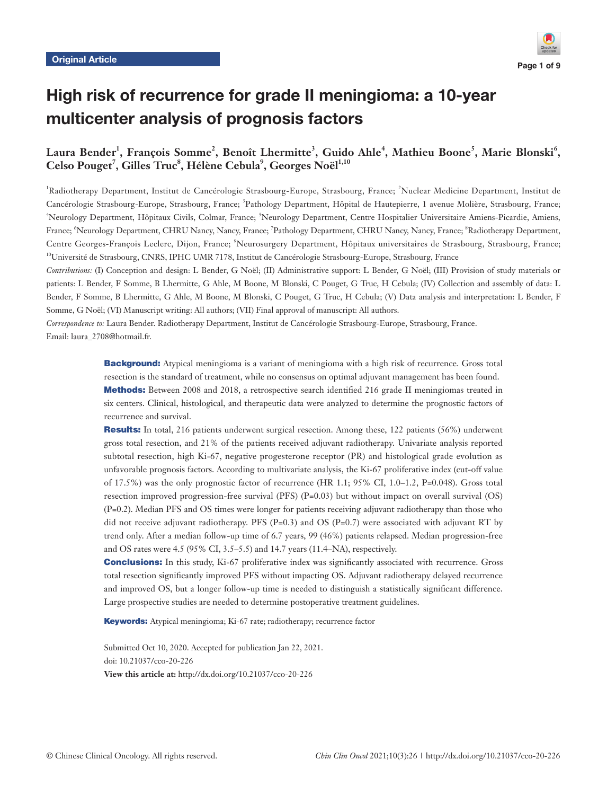

# High risk of recurrence for grade II meningioma: a 10-year multicenter analysis of prognosis factors

## **Laura Bender<sup>1</sup> , François Somme<sup>2</sup> , Benoît Lhermitte<sup>3</sup> , Guido Ahle<sup>4</sup> , Mathieu Boone<sup>5</sup> , Marie Blonski<sup>6</sup> ,**   $\text{Celso Pouget}^7$ , Gilles Truc<sup>8</sup>, Hélène Cebula<sup>9</sup>, Georges Noël<sup>1,10</sup>

<sup>1</sup>Radiotherapy Department, Institut de Cancérologie Strasbourg-Europe, Strasbourg, France; <sup>2</sup>Nuclear Medicine Department, Institut de Cancérologie Strasbourg-Europe, Strasbourg, France; <sup>3</sup>Pathology Department, Hôpital de Hautepierre, 1 avenue Molière, Strasbourg, France; <sup>4</sup>Neurology Department, Hôpitaux Civils, Colmar, France; <sup>5</sup>Neurology Department, Centre Hospitalier Universitaire Amiens-Picardie, Amiens, France; "Neurology Department, CHRU Nancy, Nancy, France; <sup>7</sup>Pathology Department, CHRU Nancy, Nancy, France; <sup>8</sup>Radiotherapy Department, Centre Georges-François Leclerc, Dijon, France; <sup>9</sup>Neurosurgery Department, Hôpitaux universitaires de Strasbourg, Strasbourg, France; 10Université de Strasbourg, CNRS, IPHC UMR 7178, Institut de Cancérologie Strasbourg-Europe, Strasbourg, France

*Contributions:* (I) Conception and design: L Bender, G Noël; (II) Administrative support: L Bender, G Noël; (III) Provision of study materials or patients: L Bender, F Somme, B Lhermitte, G Ahle, M Boone, M Blonski, C Pouget, G Truc, H Cebula; (IV) Collection and assembly of data: L Bender, F Somme, B Lhermitte, G Ahle, M Boone, M Blonski, C Pouget, G Truc, H Cebula; (V) Data analysis and interpretation: L Bender, F Somme, G Noël; (VI) Manuscript writing: All authors; (VII) Final approval of manuscript: All authors.

*Correspondence to:* Laura Bender. Radiotherapy Department, Institut de Cancérologie Strasbourg-Europe, Strasbourg, France. Email: [laura\\_2708@hotmail.fr.](mailto:laura_2708@hotmail.fr)

> **Background:** Atypical meningioma is a variant of meningioma with a high risk of recurrence. Gross total resection is the standard of treatment, while no consensus on optimal adjuvant management has been found. Methods: Between 2008 and 2018, a retrospective search identified 216 grade II meningiomas treated in six centers. Clinical, histological, and therapeutic data were analyzed to determine the prognostic factors of recurrence and survival.

> Results: In total, 216 patients underwent surgical resection. Among these, 122 patients (56%) underwent gross total resection, and 21% of the patients received adjuvant radiotherapy. Univariate analysis reported subtotal resection, high Ki-67, negative progesterone receptor (PR) and histological grade evolution as unfavorable prognosis factors. According to multivariate analysis, the Ki-67 proliferative index (cut-off value of 17.5%) was the only prognostic factor of recurrence (HR 1.1; 95% CI, 1.0–1.2, P=0.048). Gross total resection improved progression-free survival (PFS) (P=0.03) but without impact on overall survival (OS) (P=0.2). Median PFS and OS times were longer for patients receiving adjuvant radiotherapy than those who did not receive adjuvant radiotherapy. PFS (P=0.3) and OS (P=0.7) were associated with adjuvant RT by trend only. After a median follow-up time of 6.7 years, 99 (46%) patients relapsed. Median progression-free and OS rates were 4.5 (95% CI, 3.5–5.5) and 14.7 years (11.4–NA), respectively.

> **Conclusions:** In this study, Ki-67 proliferative index was significantly associated with recurrence. Gross total resection significantly improved PFS without impacting OS. Adjuvant radiotherapy delayed recurrence and improved OS, but a longer follow-up time is needed to distinguish a statistically significant difference. Large prospective studies are needed to determine postoperative treatment guidelines.

Keywords: Atypical meningioma; Ki-67 rate; radiotherapy; recurrence factor

Submitted Oct 10, 2020. Accepted for publication Jan 22, 2021. doi: 10.21037/cco-20-226 **View this article at:** http://dx.doi.org/10.21037/cco-20-226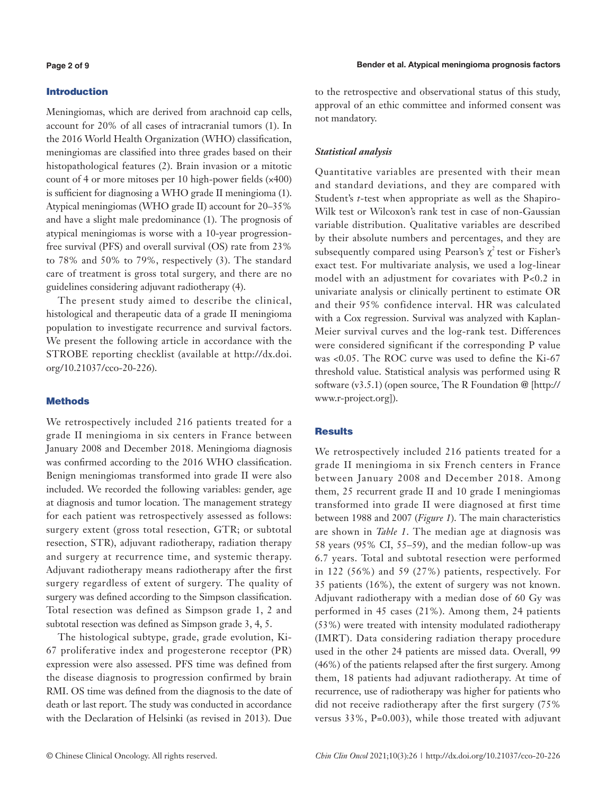## Introduction

Meningiomas, which are derived from arachnoid cap cells, account for 20% of all cases of intracranial tumors (1). In the 2016 World Health Organization (WHO) classification, meningiomas are classified into three grades based on their histopathological features (2). Brain invasion or a mitotic count of 4 or more mitoses per 10 high-power fields (×400) is sufficient for diagnosing a WHO grade II meningioma (1). Atypical meningiomas (WHO grade II) account for 20–35% and have a slight male predominance (1). The prognosis of atypical meningiomas is worse with a 10-year progressionfree survival (PFS) and overall survival (OS) rate from 23% to 78% and 50% to 79%, respectively (3). The standard care of treatment is gross total surgery, and there are no guidelines considering adjuvant radiotherapy (4).

The present study aimed to describe the clinical, histological and therapeutic data of a grade II meningioma population to investigate recurrence and survival factors. We present the following article in accordance with the STROBE reporting checklist (available at [http://dx.doi.](http://dx.doi.org/10.21037/cco-20-226) [org/10.21037/cco-20-226\)](http://dx.doi.org/10.21037/cco-20-226).

## Methods

We retrospectively included 216 patients treated for a grade II meningioma in six centers in France between January 2008 and December 2018. Meningioma diagnosis was confirmed according to the 2016 WHO classification. Benign meningiomas transformed into grade II were also included. We recorded the following variables: gender, age at diagnosis and tumor location. The management strategy for each patient was retrospectively assessed as follows: surgery extent (gross total resection, GTR; or subtotal resection, STR), adjuvant radiotherapy, radiation therapy and surgery at recurrence time, and systemic therapy. Adjuvant radiotherapy means radiotherapy after the first surgery regardless of extent of surgery. The quality of surgery was defined according to the Simpson classification. Total resection was defined as Simpson grade 1, 2 and subtotal resection was defined as Simpson grade 3, 4, 5.

The histological subtype, grade, grade evolution, Ki-67 proliferative index and progesterone receptor (PR) expression were also assessed. PFS time was defined from the disease diagnosis to progression confirmed by brain RMI. OS time was defined from the diagnosis to the date of death or last report. The study was conducted in accordance with the Declaration of Helsinki (as revised in 2013). Due

to the retrospective and observational status of this study, approval of an ethic committee and informed consent was not mandatory.

## *Statistical analysis*

Quantitative variables are presented with their mean and standard deviations, and they are compared with Student's *t*-test when appropriate as well as the Shapiro-Wilk test or Wilcoxon's rank test in case of non-Gaussian variable distribution. Qualitative variables are described by their absolute numbers and percentages, and they are subsequently compared using Pearson's  $\chi^2$  test or Fisher's exact test. For multivariate analysis, we used a log-linear model with an adjustment for covariates with P<0.2 in univariate analysis or clinically pertinent to estimate OR and their 95% confidence interval. HR was calculated with a Cox regression. Survival was analyzed with Kaplan-Meier survival curves and the log-rank test. Differences were considered significant if the corresponding P value was <0.05. The ROC curve was used to define the Ki-67 threshold value. Statistical analysis was performed using R software (v3.5.1) (open source, The R Foundation @ [\[http://](http://www.r-project.org) [www.r-project.org](http://www.r-project.org)]).

## **Results**

We retrospectively included 216 patients treated for a grade II meningioma in six French centers in France between January 2008 and December 2018. Among them, 25 recurrent grade II and 10 grade I meningiomas transformed into grade II were diagnosed at first time between 1988 and 2007 (*Figure 1*). The main characteristics are shown in *Table 1*. The median age at diagnosis was 58 years (95% CI, 55–59), and the median follow-up was 6.7 years. Total and subtotal resection were performed in 122 (56%) and 59 (27%) patients, respectively. For 35 patients (16%), the extent of surgery was not known. Adjuvant radiotherapy with a median dose of 60 Gy was performed in 45 cases (21%). Among them, 24 patients (53%) were treated with intensity modulated radiotherapy (IMRT). Data considering radiation therapy procedure used in the other 24 patients are missed data. Overall, 99 (46%) of the patients relapsed after the first surgery. Among them, 18 patients had adjuvant radiotherapy. At time of recurrence, use of radiotherapy was higher for patients who did not receive radiotherapy after the first surgery (75% versus 33%, P=0.003), while those treated with adjuvant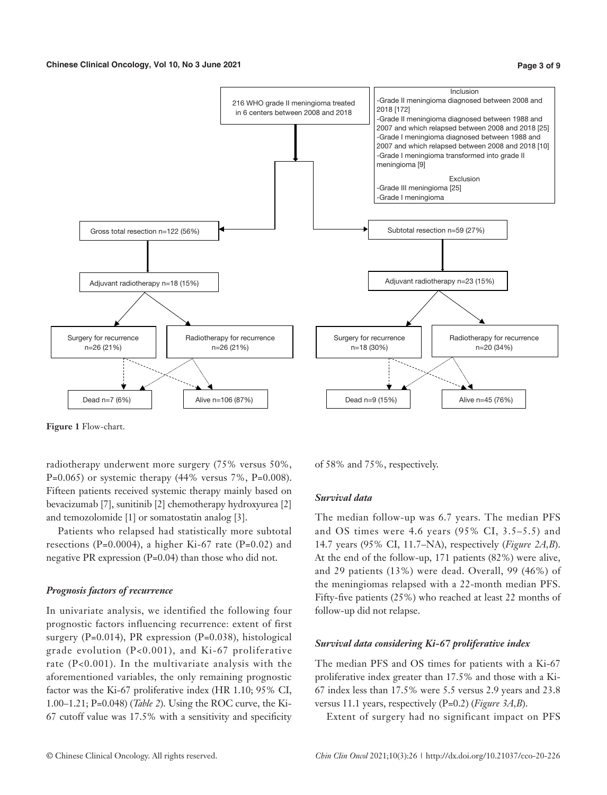

**Figure 1** Flow-chart.

radiotherapy underwent more surgery (75% versus 50%,  $P=0.065$ ) or systemic therapy (44% versus 7%, P=0.008). Fifteen patients received systemic therapy mainly based on bevacizumab [7], sunitinib [2] chemotherapy hydroxyurea [2] and temozolomide [1] or somatostatin analog [3].

Patients who relapsed had statistically more subtotal resections (P=0.0004), a higher Ki-67 rate (P=0.02) and negative PR expression (P=0.04) than those who did not.

## *Prognosis factors of recurrence*

In univariate analysis, we identified the following four prognostic factors influencing recurrence: extent of first surgery (P=0.014), PR expression (P=0.038), histological grade evolution (P<0.001), and Ki-67 proliferative rate (P<0.001). In the multivariate analysis with the aforementioned variables, the only remaining prognostic factor was the Ki-67 proliferative index (HR 1.10; 95% CI, 1.00–1.21; P=0.048) (*Table 2*). Using the ROC curve, the Ki-67 cutoff value was 17.5% with a sensitivity and specificity

of 58% and 75%, respectively.

## *Survival data*

The median follow-up was 6.7 years. The median PFS and OS times were 4.6 years (95% CI, 3.5–5.5) and 14.7 years (95% CI, 11.7–NA), respectively (*Figure 2A,B*). At the end of the follow-up, 171 patients (82%) were alive, and 29 patients (13%) were dead. Overall, 99 (46%) of the meningiomas relapsed with a 22-month median PFS. Fifty-five patients (25%) who reached at least 22 months of follow-up did not relapse.

#### *Survival data considering Ki-67 proliferative index*

The median PFS and OS times for patients with a Ki-67 proliferative index greater than 17.5% and those with a Ki-67 index less than 17.5% were 5.5 versus 2.9 years and 23.8 versus 11.1 years, respectively (P=0.2) (*Figure 3A,B*).

Extent of surgery had no significant impact on PFS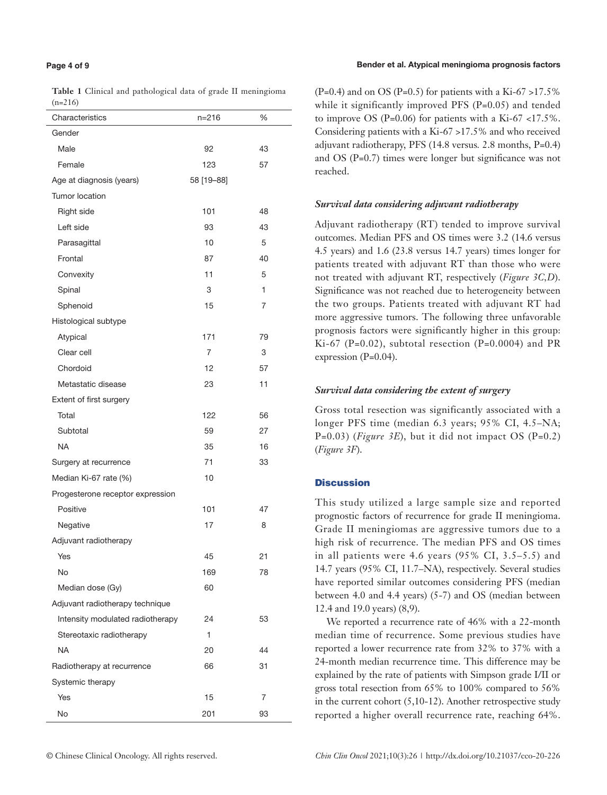#### **Page 4 of 9**

#### Bender et al. Atypical meningioma prognosis factors

**Table 1** Clinical and pathological data of grade II meningioma  $(n-216)$ 

| Characteristics                  | $n = 216$  | %  |
|----------------------------------|------------|----|
| Gender                           |            |    |
| Male                             | 92         | 43 |
| Female                           | 123        | 57 |
| Age at diagnosis (years)         | 58 [19-88] |    |
| Tumor location                   |            |    |
| Right side                       | 101        | 48 |
| Left side                        | 93         | 43 |
| Parasagittal                     | 10         | 5  |
| Frontal                          | 87         | 40 |
| Convexity                        | 11         | 5  |
| Spinal                           | 3          | 1  |
| Sphenoid                         | 15         | 7  |
| Histological subtype             |            |    |
| Atypical                         | 171        | 79 |
| Clear cell                       | 7          | 3  |
| Chordoid                         | 12         | 57 |
| Metastatic disease               | 23         | 11 |
| Extent of first surgery          |            |    |
| Total                            | 122        | 56 |
| Subtotal                         | 59         | 27 |
| <b>NA</b>                        | 35         | 16 |
| Surgery at recurrence            | 71         | 33 |
| Median Ki-67 rate (%)            | 10         |    |
| Progesterone receptor expression |            |    |
| Positive                         | 101        | 47 |
| Negative                         | 17         | 8  |
| Adjuvant radiotherapy            |            |    |
| Yes                              | 45         | 21 |
| No                               | 169        | 78 |
| Median dose (Gy)                 | 60         |    |
| Adjuvant radiotherapy technique  |            |    |
| Intensity modulated radiotherapy | 24         | 53 |
| Stereotaxic radiotherapy         | 1          |    |
| <b>NA</b>                        | 20         | 44 |
| Radiotherapy at recurrence       | 66         | 31 |
| Systemic therapy                 |            |    |
| Yes                              | 15         | 7  |
| No                               | 201        | 93 |

 $(P=0.4)$  and on OS  $(P=0.5)$  for patients with a Ki-67 >17.5% while it significantly improved PFS (P=0.05) and tended to improve OS (P=0.06) for patients with a Ki-67 <17.5%. Considering patients with a Ki-67 >17.5% and who received adjuvant radiotherapy, PFS (14.8 versus*.* 2.8 months, P=0.4) and OS (P=0.7) times were longer but significance was not reached.

## *Survival data considering adjuvant radiotherapy*

Adjuvant radiotherapy (RT) tended to improve survival outcomes. Median PFS and OS times were 3.2 (14.6 versus 4.5 years) and 1.6 (23.8 versus 14.7 years) times longer for patients treated with adjuvant RT than those who were not treated with adjuvant RT, respectively (*Figure 3C,D*). Significance was not reached due to heterogeneity between the two groups. Patients treated with adjuvant RT had more aggressive tumors. The following three unfavorable prognosis factors were significantly higher in this group: Ki-67 (P=0.02), subtotal resection (P=0.0004) and PR expression (P=0.04).

## *Survival data considering the extent of surgery*

Gross total resection was significantly associated with a longer PFS time (median 6.3 years; 95% CI, 4.5–NA; P=0.03) (*Figure 3E*), but it did not impact OS (P=0.2) (*Figure 3F*).

## **Discussion**

This study utilized a large sample size and reported prognostic factors of recurrence for grade II meningioma. Grade II meningiomas are aggressive tumors due to a high risk of recurrence. The median PFS and OS times in all patients were 4.6 years (95% CI, 3.5–5.5) and 14.7 years (95% CI, 11.7–NA), respectively. Several studies have reported similar outcomes considering PFS (median between 4.0 and 4.4 years) (5-7) and OS (median between 12.4 and 19.0 years) (8,9).

We reported a recurrence rate of 46% with a 22-month median time of recurrence. Some previous studies have reported a lower recurrence rate from 32% to 37% with a 24-month median recurrence time. This difference may be explained by the rate of patients with Simpson grade I/II or gross total resection from 65% to 100% compared to 56% in the current cohort  $(5,10-12)$ . Another retrospective study reported a higher overall recurrence rate, reaching 64%.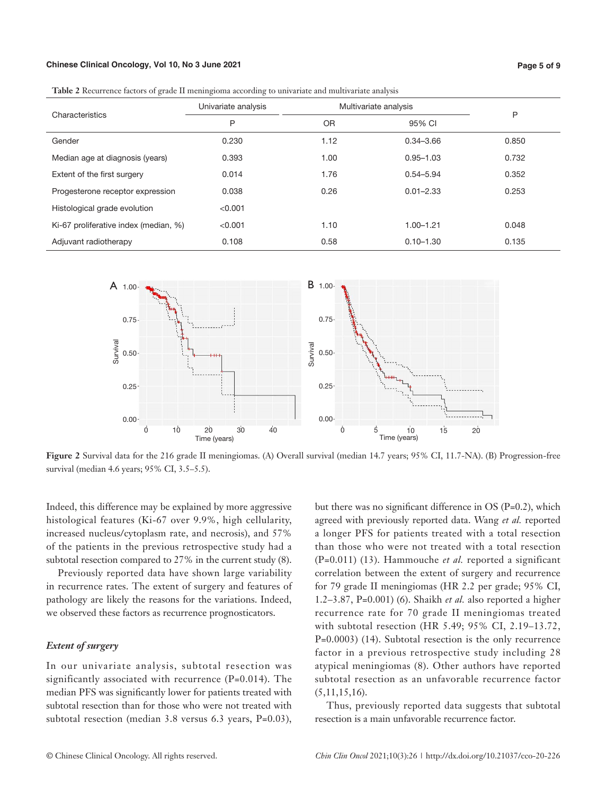#### **Chinese Clinical Oncology, Vol 10, No 3 June 2021**

**Table 2** Recurrence factors of grade II meningioma according to univariate and multivariate analysis

| Characteristics                       | Univariate analysis | Multivariate analysis |               |       |
|---------------------------------------|---------------------|-----------------------|---------------|-------|
|                                       | P                   | <b>OR</b>             | 95% CI        | P     |
| Gender                                | 0.230               | 1.12                  | $0.34 - 3.66$ | 0.850 |
| Median age at diagnosis (years)       | 0.393               | 1.00                  | $0.95 - 1.03$ | 0.732 |
| Extent of the first surgery           | 0.014               | 1.76                  | $0.54 - 5.94$ | 0.352 |
| Progesterone receptor expression      | 0.038               | 0.26                  | $0.01 - 2.33$ | 0.253 |
| Histological grade evolution          | < 0.001             |                       |               |       |
| Ki-67 proliferative index (median, %) | < 0.001             | 1.10                  | $1.00 - 1.21$ | 0.048 |
| Adjuvant radiotherapy                 | 0.108               | 0.58                  | $0.10 - 1.30$ | 0.135 |



**Figure 2** Survival data for the 216 grade II meningiomas. (A) Overall survival (median 14.7 years; 95% CI, 11.7-NA). (B) Progression-free survival (median 4.6 years; 95% CI, 3.5–5.5).

Indeed, this difference may be explained by more aggressive histological features (Ki-67 over 9.9%, high cellularity, increased nucleus/cytoplasm rate, and necrosis), and 57% of the patients in the previous retrospective study had a subtotal resection compared to 27% in the current study (8).

Previously reported data have shown large variability in recurrence rates. The extent of surgery and features of pathology are likely the reasons for the variations. Indeed, we observed these factors as recurrence prognosticators.

## *Extent of surgery*

In our univariate analysis, subtotal resection was significantly associated with recurrence (P=0.014). The median PFS was significantly lower for patients treated with subtotal resection than for those who were not treated with subtotal resection (median 3.8 versus 6.3 years, P=0.03), but there was no significant difference in OS (P=0.2), which agreed with previously reported data. Wang *et al.* reported a longer PFS for patients treated with a total resection than those who were not treated with a total resection (P=0.011) (13). Hammouche *et al.* reported a significant correlation between the extent of surgery and recurrence for 79 grade II meningiomas (HR 2.2 per grade; 95% CI, 1.2–3.87, P=0.001) (6). Shaikh *et al.* also reported a higher recurrence rate for 70 grade II meningiomas treated with subtotal resection (HR 5.49; 95% CI, 2.19–13.72, P=0.0003) (14). Subtotal resection is the only recurrence factor in a previous retrospective study including 28 atypical meningiomas (8). Other authors have reported subtotal resection as an unfavorable recurrence factor (5,11,15,16).

Thus, previously reported data suggests that subtotal resection is a main unfavorable recurrence factor.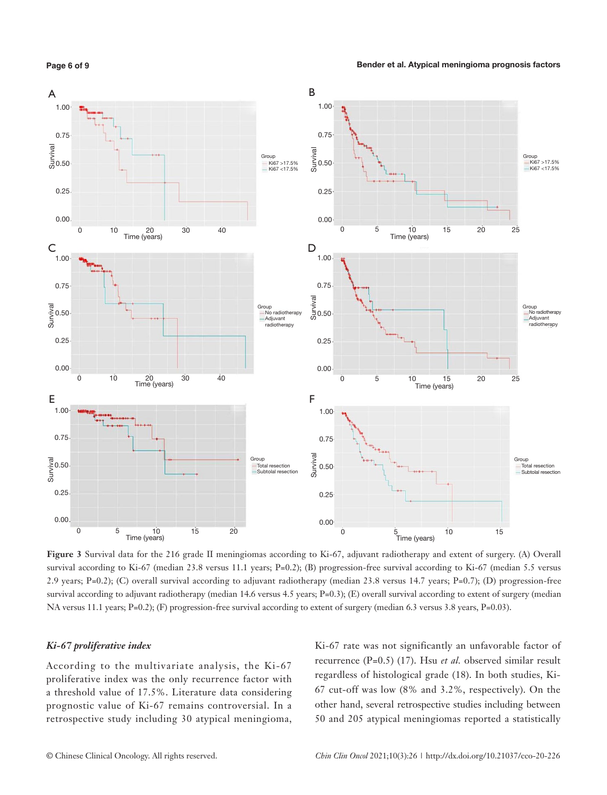**Page 6 of 9**



**Figure 3** Survival data for the 216 grade II meningiomas according to Ki-67, adjuvant radiotherapy and extent of surgery. (A) Overall survival according to Ki-67 (median 23.8 versus 11.1 years; P=0.2); (B) progression-free survival according to Ki-67 (median 5.5 versus 2.9 years; P=0.2); (C) overall survival according to adjuvant radiotherapy (median 23.8 versus 14.7 years; P=0.7); (D) progression-free survival according to adjuvant radiotherapy (median 14.6 versus 4.5 years; P=0.3); (E) overall survival according to extent of surgery (median NA versus 11.1 years; P=0.2); (F) progression-free survival according to extent of surgery (median 6.3 versus 3.8 years, P=0.03).

#### *Ki-67 proliferative index*

According to the multivariate analysis, the Ki-67 proliferative index was the only recurrence factor with a threshold value of 17.5%. Literature data considering prognostic value of Ki-67 remains controversial. In a retrospective study including 30 atypical meningioma, Ki-67 rate was not significantly an unfavorable factor of recurrence (P=0.5) (17). Hsu *et al.* observed similar result regardless of histological grade (18). In both studies, Ki-67 cut-off was low (8% and 3.2%, respectively). On the other hand, several retrospective studies including between 50 and 205 atypical meningiomas reported a statistically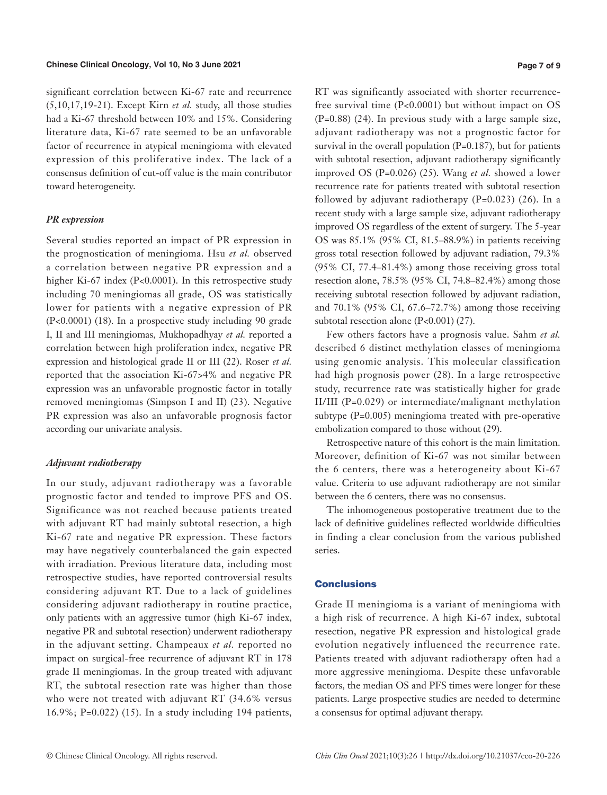significant correlation between Ki-67 rate and recurrence (5,10,17,19-21). Except Kirn *et al.* study, all those studies had a Ki-67 threshold between 10% and 15%. Considering literature data, Ki-67 rate seemed to be an unfavorable factor of recurrence in atypical meningioma with elevated expression of this proliferative index. The lack of a consensus definition of cut-off value is the main contributor toward heterogeneity.

## *PR expression*

Several studies reported an impact of PR expression in the prognostication of meningioma. Hsu *et al.* observed a correlation between negative PR expression and a higher Ki-67 index (P<0.0001). In this retrospective study including 70 meningiomas all grade, OS was statistically lower for patients with a negative expression of PR (P<0.0001) (18). In a prospective study including 90 grade I, II and III meningiomas, Mukhopadhyay *et al.* reported a correlation between high proliferation index, negative PR expression and histological grade II or III (22). Roser *et al.* reported that the association Ki-67>4% and negative PR expression was an unfavorable prognostic factor in totally removed meningiomas (Simpson I and II) (23). Negative PR expression was also an unfavorable prognosis factor according our univariate analysis.

## *Adjuvant radiotherapy*

In our study, adjuvant radiotherapy was a favorable prognostic factor and tended to improve PFS and OS. Significance was not reached because patients treated with adjuvant RT had mainly subtotal resection, a high Ki-67 rate and negative PR expression. These factors may have negatively counterbalanced the gain expected with irradiation. Previous literature data, including most retrospective studies, have reported controversial results considering adjuvant RT. Due to a lack of guidelines considering adjuvant radiotherapy in routine practice, only patients with an aggressive tumor (high Ki-67 index, negative PR and subtotal resection) underwent radiotherapy in the adjuvant setting. Champeaux *et al.* reported no impact on surgical-free recurrence of adjuvant RT in 178 grade II meningiomas. In the group treated with adjuvant RT, the subtotal resection rate was higher than those who were not treated with adjuvant RT (34.6% versus 16.9%; P=0.022) (15). In a study including 194 patients, RT was significantly associated with shorter recurrencefree survival time (P<0.0001) but without impact on OS (P=0.88) (24). In previous study with a large sample size, adjuvant radiotherapy was not a prognostic factor for survival in the overall population (P=0.187), but for patients with subtotal resection, adjuvant radiotherapy significantly improved OS (P=0.026) (25). Wang *et al.* showed a lower recurrence rate for patients treated with subtotal resection followed by adjuvant radiotherapy  $(P=0.023)$  (26). In a recent study with a large sample size, adjuvant radiotherapy improved OS regardless of the extent of surgery. The 5-year OS was 85.1% (95% CI, 81.5–88.9%) in patients receiving gross total resection followed by adjuvant radiation, 79.3% (95% CI, 77.4–81.4%) among those receiving gross total resection alone, 78.5% (95% CI, 74.8–82.4%) among those receiving subtotal resection followed by adjuvant radiation, and 70.1% (95% CI, 67.6–72.7%) among those receiving subtotal resection alone (P<0.001) (27).

Few others factors have a prognosis value. Sahm *et al.* described 6 distinct methylation classes of meningioma using genomic analysis. This molecular classification had high prognosis power (28). In a large retrospective study, recurrence rate was statistically higher for grade II/III (P=0.029) or intermediate/malignant methylation subtype (P=0.005) meningioma treated with pre-operative embolization compared to those without (29).

Retrospective nature of this cohort is the main limitation. Moreover, definition of Ki-67 was not similar between the 6 centers, there was a heterogeneity about Ki-67 value. Criteria to use adjuvant radiotherapy are not similar between the 6 centers, there was no consensus.

The inhomogeneous postoperative treatment due to the lack of definitive guidelines reflected worldwide difficulties in finding a clear conclusion from the various published series.

## Conclusions

Grade II meningioma is a variant of meningioma with a high risk of recurrence. A high Ki-67 index, subtotal resection, negative PR expression and histological grade evolution negatively influenced the recurrence rate. Patients treated with adjuvant radiotherapy often had a more aggressive meningioma. Despite these unfavorable factors, the median OS and PFS times were longer for these patients. Large prospective studies are needed to determine a consensus for optimal adjuvant therapy.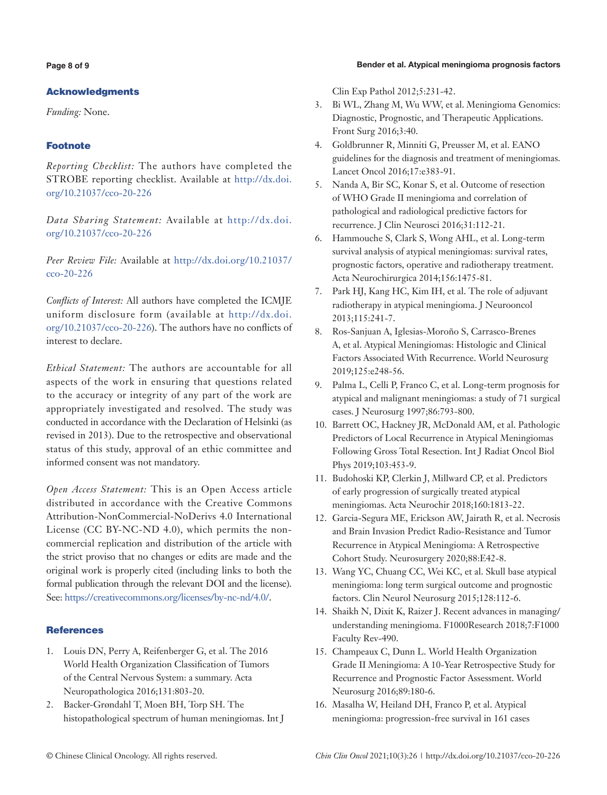#### Bender et al. Atypical meningioma prognosis factors

## **Page 8 of 9**

## Acknowledgments

*Funding:* None.

## Footnote

*Reporting Checklist:* The authors have completed the STROBE reporting checklist. Available at [http://dx.doi.](http://dx.doi.org/10.21037/cco-20-226) [org/10.21037/cco-20-226](http://dx.doi.org/10.21037/cco-20-226)

*Data Sharing Statement:* Available at [http://dx.doi.](http://dx.doi.org/10.21037/cco-20-226) [org/10.21037/cco-20-226](http://dx.doi.org/10.21037/cco-20-226)

*Peer Review File:* Available at http://dx.doi.org/10.21037/ cco-20-226

*Conflicts of Interest:* All authors have completed the ICMJE uniform disclosure form (available at http://dx.doi. org/10.21037/cco-20-226). The authors have no conflicts of interest to declare.

*Ethical Statement:* The authors are accountable for all aspects of the work in ensuring that questions related to the accuracy or integrity of any part of the work are appropriately investigated and resolved. The study was conducted in accordance with the Declaration of Helsinki (as revised in 2013). Due to the retrospective and observational status of this study, approval of an ethic committee and informed consent was not mandatory.

*Open Access Statement:* This is an Open Access article distributed in accordance with the Creative Commons Attribution-NonCommercial-NoDerivs 4.0 International License (CC BY-NC-ND 4.0), which permits the noncommercial replication and distribution of the article with the strict proviso that no changes or edits are made and the original work is properly cited (including links to both the formal publication through the relevant DOI and the license). See: [https://creativecommons.org/licenses/by-nc-nd/4.0/.](https://creativecommons.org/licenses/by-nc-nd/4.0/)

## **References**

- 1. Louis DN, Perry A, Reifenberger G, et al. The 2016 World Health Organization Classification of Tumors of the Central Nervous System: a summary. Acta Neuropathologica 2016;131:803-20.
- 2. Backer-Grøndahl T, Moen BH, Torp SH. The histopathological spectrum of human meningiomas. Int J

Clin Exp Pathol 2012;5:231-42.

- 3. Bi WL, Zhang M, Wu WW, et al. Meningioma Genomics: Diagnostic, Prognostic, and Therapeutic Applications. Front Surg 2016;3:40.
- 4. Goldbrunner R, Minniti G, Preusser M, et al. EANO guidelines for the diagnosis and treatment of meningiomas. Lancet Oncol 2016;17:e383-91.
- 5. Nanda A, Bir SC, Konar S, et al. Outcome of resection of WHO Grade II meningioma and correlation of pathological and radiological predictive factors for recurrence. J Clin Neurosci 2016;31:112-21.
- 6. Hammouche S, Clark S, Wong AHL, et al. Long-term survival analysis of atypical meningiomas: survival rates, prognostic factors, operative and radiotherapy treatment. Acta Neurochirurgica 2014;156:1475-81.
- 7. Park HJ, Kang HC, Kim IH, et al. The role of adjuvant radiotherapy in atypical meningioma. J Neurooncol 2013;115:241-7.
- 8. Ros-Sanjuan A, Iglesias-Moroño S, Carrasco-Brenes A, et al. Atypical Meningiomas: Histologic and Clinical Factors Associated With Recurrence. World Neurosurg 2019;125:e248-56.
- 9. Palma L, Celli P, Franco C, et al. Long-term prognosis for atypical and malignant meningiomas: a study of 71 surgical cases. J Neurosurg 1997;86:793-800.
- 10. Barrett OC, Hackney JR, McDonald AM, et al. Pathologic Predictors of Local Recurrence in Atypical Meningiomas Following Gross Total Resection. Int J Radiat Oncol Biol Phys 2019;103:453-9.
- 11. Budohoski KP, Clerkin J, Millward CP, et al. Predictors of early progression of surgically treated atypical meningiomas. Acta Neurochir 2018;160:1813-22.
- 12. Garcia-Segura ME, Erickson AW, Jairath R, et al. Necrosis and Brain Invasion Predict Radio-Resistance and Tumor Recurrence in Atypical Meningioma: A Retrospective Cohort Study. Neurosurgery 2020;88:E42-8.
- 13. Wang YC, Chuang CC, Wei KC, et al. Skull base atypical meningioma: long term surgical outcome and prognostic factors. Clin Neurol Neurosurg 2015;128:112-6.
- 14. Shaikh N, Dixit K, Raizer J. Recent advances in managing/ understanding meningioma. F1000Research 2018;7:F1000 Faculty Rev-490.
- 15. Champeaux C, Dunn L. World Health Organization Grade II Meningioma: A 10-Year Retrospective Study for Recurrence and Prognostic Factor Assessment. World Neurosurg 2016;89:180-6.
- 16. Masalha W, Heiland DH, Franco P, et al. Atypical meningioma: progression-free survival in 161 cases